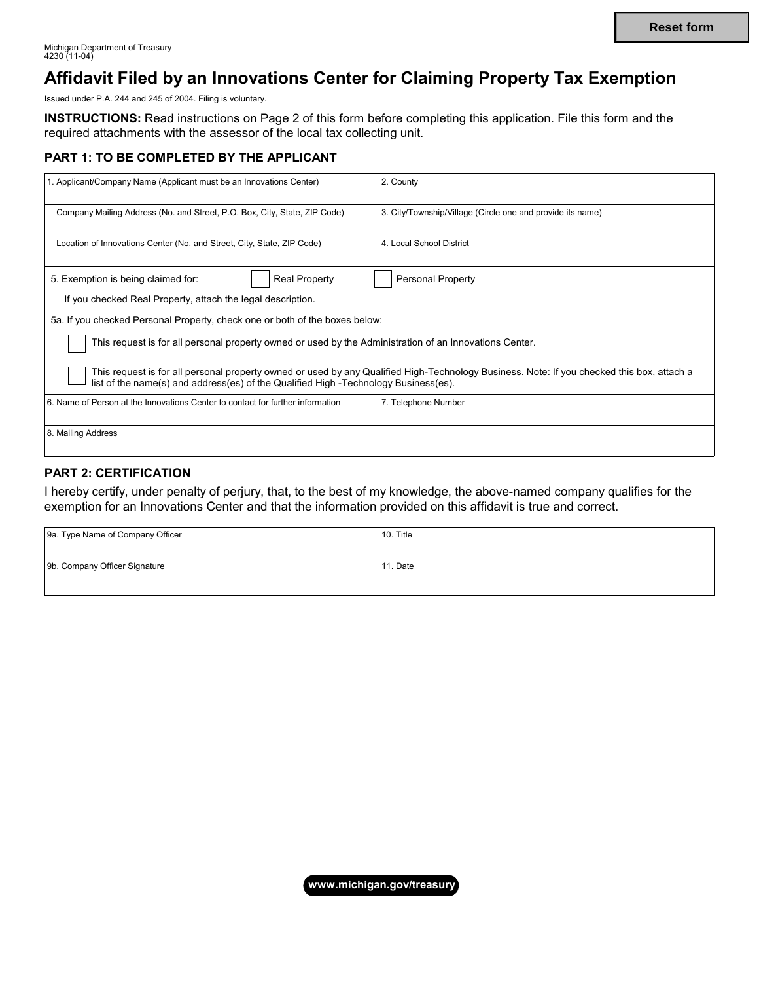# **Affidavit Filed by an Innovations Center for Claiming Property Tax Exemption**

Issued under P.A. 244 and 245 of 2004. Filing is voluntary.

**INSTRUCTIONS:** Read instructions on Page 2 of this form before completing this application. File this form and the required attachments with the assessor of the local tax collecting unit.

### **PART 1: TO BE COMPLETED BY THE APPLICANT**

| 1. Applicant/Company Name (Applicant must be an Innovations Center)                                                                                                                                                               | 2. County                                                  |
|-----------------------------------------------------------------------------------------------------------------------------------------------------------------------------------------------------------------------------------|------------------------------------------------------------|
| Company Mailing Address (No. and Street, P.O. Box, City, State, ZIP Code)                                                                                                                                                         | 3. City/Township/Village (Circle one and provide its name) |
| Location of Innovations Center (No. and Street, City, State, ZIP Code)                                                                                                                                                            | 4. Local School District                                   |
| <b>Real Property</b><br>5. Exemption is being claimed for:                                                                                                                                                                        | <b>Personal Property</b>                                   |
| If you checked Real Property, attach the legal description.                                                                                                                                                                       |                                                            |
| 5a. If you checked Personal Property, check one or both of the boxes below:                                                                                                                                                       |                                                            |
| This request is for all personal property owned or used by the Administration of an Innovations Center.                                                                                                                           |                                                            |
| This request is for all personal property owned or used by any Qualified High-Technology Business. Note: If you checked this box, attach a<br>list of the name(s) and address(es) of the Qualified High -Technology Business(es). |                                                            |
| 6. Name of Person at the Innovations Center to contact for further information                                                                                                                                                    | 7. Telephone Number                                        |
| 8. Mailing Address                                                                                                                                                                                                                |                                                            |

### **PART 2: CERTIFICATION**

I hereby certify, under penalty of perjury, that, to the best of my knowledge, the above-named company qualifies for the exemption for an Innovations Center and that the information provided on this affidavit is true and correct.

| 9a. Type Name of Company Officer | 10. Title |
|----------------------------------|-----------|
| 9b. Company Officer Signature    | 11. Date  |